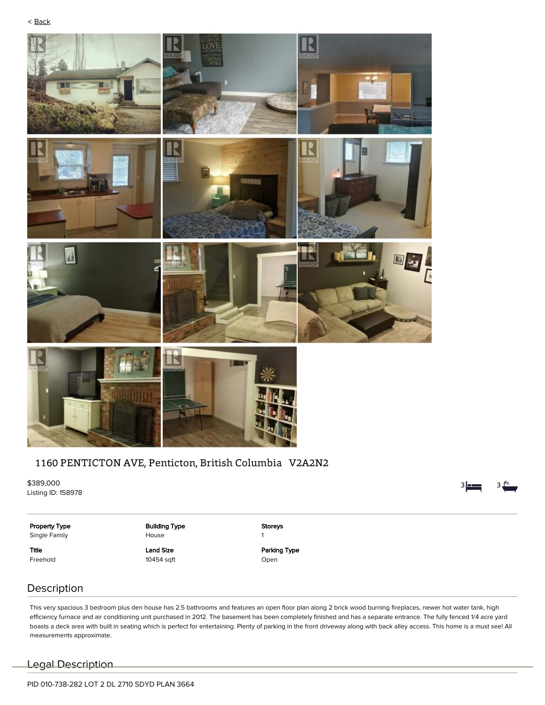

# 1160 PENTICTON AVE, Penticton, British Columbia V2A2N2

\$389,000 Listing ID: 158978

 $3 - 3$ 

Property Type

Single Family

Title Freehold

### Building Type House Land Size

10454 sqft

Storeys 1 Parking Type Open

Description

This very spacious 3 bedroom plus den house has 2.5 bathrooms and features an open floor plan along 2 brick wood burning fireplaces, newer hot water tank, high efficiency furnace and air conditioning unit purchased in 2012. The basement has been completely finished and has a separate entrance. The fully fenced 1/4 acre yard boasts a deck area with built in seating which is perfect for entertaining. Plenty of parking in the front driveway along with back alley access. This home is a must see! All measurements approximate.

Legal Description